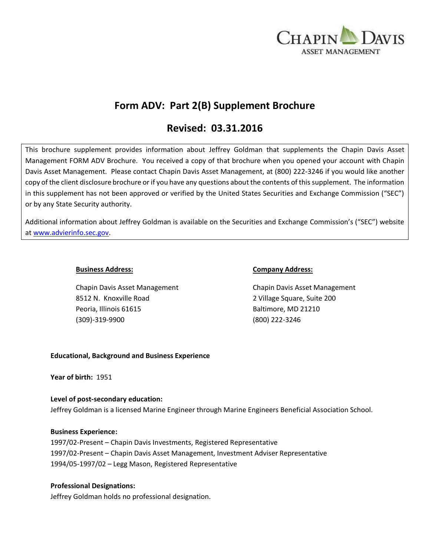

# **Form ADV: Part 2(B) Supplement Brochure**

# **Revised: 03.31.2016**

This brochure supplement provides information about Jeffrey Goldman that supplements the Chapin Davis Asset Management FORM ADV Brochure. You received a copy of that brochure when you opened your account with Chapin Davis Asset Management. Please contact Chapin Davis Asset Management, at (800) 222-3246 if you would like another copy of the client disclosure brochure or if you have any questions about the contents of this supplement. The information in this supplement has not been approved or verified by the United States Securities and Exchange Commission ("SEC") or by any State Security authority.

Additional information about Jeffrey Goldman is available on the Securities and Exchange Commission's ("SEC") website at [www.advierinfo.sec.gov.](http://www.advierinfo.sec.gov/)

Chapin Davis Asset Management Chapin Davis Asset Management 8512 N. Knoxville Road 2 Village Square, Suite 200 Peoria, Illinois 61615 Baltimore, MD 21210 (309)-319-9900 (800) 222-3246

## **Business Address: Company Address:**

# **Educational, Background and Business Experience**

**Year of birth:** 1951

# **Level of post-secondary education:**

Jeffrey Goldman is a licensed Marine Engineer through Marine Engineers Beneficial Association School.

#### **Business Experience:**

1997/02-Present – Chapin Davis Investments, Registered Representative 1997/02-Present – Chapin Davis Asset Management, Investment Adviser Representative 1994/05-1997/02 – Legg Mason, Registered Representative

# **Professional Designations:**

Jeffrey Goldman holds no professional designation.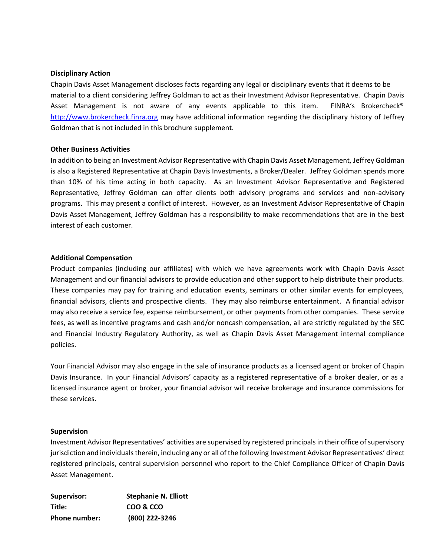#### **Disciplinary Action**

Chapin Davis Asset Management discloses facts regarding any legal or disciplinary events that it deems to be material to a client considering Jeffrey Goldman to act as their Investment Advisor Representative. Chapin Davis Asset Management is not aware of any events applicable to this item. FINRA's Brokercheck® [http://www.brokercheck.finra.org](http://www.brokercheck.finra.org/) may have additional information regarding the disciplinary history of Jeffrey Goldman that is not included in this brochure supplement.

## **Other Business Activities**

In addition to being an Investment Advisor Representative with Chapin Davis Asset Management, Jeffrey Goldman is also a Registered Representative at Chapin Davis Investments, a Broker/Dealer. Jeffrey Goldman spends more than 10% of his time acting in both capacity. As an Investment Advisor Representative and Registered Representative, Jeffrey Goldman can offer clients both advisory programs and services and non-advisory programs. This may present a conflict of interest. However, as an Investment Advisor Representative of Chapin Davis Asset Management, Jeffrey Goldman has a responsibility to make recommendations that are in the best interest of each customer.

## **Additional Compensation**

Product companies (including our affiliates) with which we have agreements work with Chapin Davis Asset Management and our financial advisors to provide education and other support to help distribute their products. These companies may pay for training and education events, seminars or other similar events for employees, financial advisors, clients and prospective clients. They may also reimburse entertainment. A financial advisor may also receive a service fee, expense reimbursement, or other payments from other companies. These service fees, as well as incentive programs and cash and/or noncash compensation, all are strictly regulated by the SEC and Financial Industry Regulatory Authority, as well as Chapin Davis Asset Management internal compliance policies.

Your Financial Advisor may also engage in the sale of insurance products as a licensed agent or broker of Chapin Davis Insurance. In your Financial Advisors' capacity as a registered representative of a broker dealer, or as a licensed insurance agent or broker, your financial advisor will receive brokerage and insurance commissions for these services.

#### **Supervision**

Investment Advisor Representatives' activities are supervised by registered principals in their office of supervisory jurisdiction and individuals therein, including any or all of the following Investment Advisor Representatives' direct registered principals, central supervision personnel who report to the Chief Compliance Officer of Chapin Davis Asset Management.

| Supervisor:          | <b>Stephanie N. Elliott</b> |
|----------------------|-----------------------------|
| Title:               | COO & CCO                   |
| <b>Phone number:</b> | (800) 222-3246              |